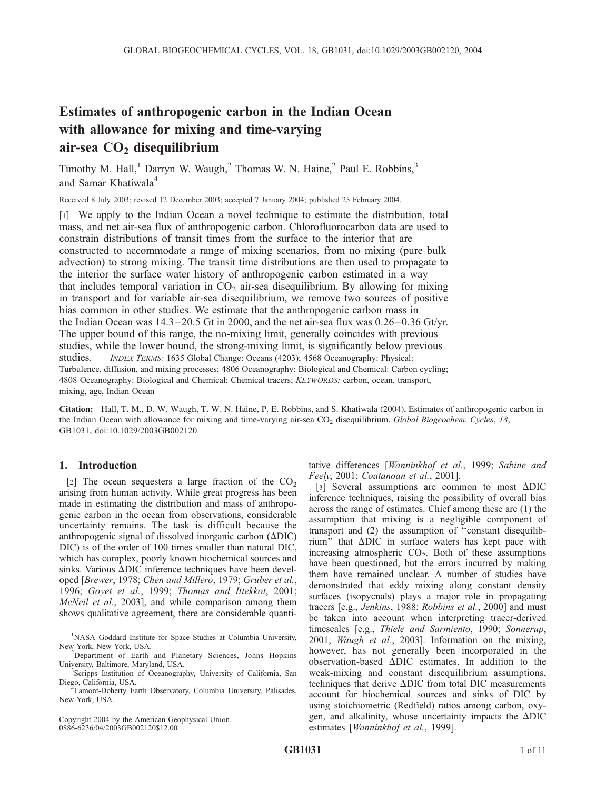# Estimates of anthropogenic carbon in the Indian Ocean with allowance for mixing and time-varying air-sea  $CO<sub>2</sub>$  disequilibrium

Timothy M. Hall,<sup>1</sup> Darryn W. Waugh,<sup>2</sup> Thomas W. N. Haine,<sup>2</sup> Paul E. Robbins,<sup>3</sup> and Samar Khatiwala<sup>4</sup>

Received 8 July 2003; revised 12 December 2003; accepted 7 January 2004; published 25 February 2004.

[1] We apply to the Indian Ocean a novel technique to estimate the distribution, total mass, and net air-sea flux of anthropogenic carbon. Chlorofluorocarbon data are used to constrain distributions of transit times from the surface to the interior that are constructed to accommodate a range of mixing scenarios, from no mixing (pure bulk advection) to strong mixing. The transit time distributions are then used to propagate to the interior the surface water history of anthropogenic carbon estimated in a way that includes temporal variation in  $CO<sub>2</sub>$  air-sea disequilibrium. By allowing for mixing in transport and for variable air-sea disequilibrium, we remove two sources of positive bias common in other studies. We estimate that the anthropogenic carbon mass in the Indian Ocean was 14.3–20.5 Gt in 2000, and the net air-sea flux was 0.26–0.36 Gt/yr. The upper bound of this range, the no-mixing limit, generally coincides with previous studies, while the lower bound, the strong-mixing limit, is significantly below previous studies. INDEX TERMS: 1635 Global Change: Oceans (4203); 4568 Oceanography: Physical: Turbulence, diffusion, and mixing processes; 4806 Oceanography: Biological and Chemical: Carbon cycling; 4808 Oceanography: Biological and Chemical: Chemical tracers; KEYWORDS: carbon, ocean, transport, mixing, age, Indian Ocean

Citation: Hall, T. M., D. W. Waugh, T. W. N. Haine, P. E. Robbins, and S. Khatiwala (2004), Estimates of anthropogenic carbon in the Indian Ocean with allowance for mixing and time-varying air-sea  $CO<sub>2</sub>$  disequilibrium, Global Biogeochem. Cycles, 18, GB1031, doi:10.1029/2003GB002120.

## 1. Introduction

[2] The ocean sequesters a large fraction of the  $CO<sub>2</sub>$ arising from human activity. While great progress has been made in estimating the distribution and mass of anthropogenic carbon in the ocean from observations, considerable uncertainty remains. The task is difficult because the anthropogenic signal of dissolved inorganic carbon  $(\Delta \text{DIC})$ DIC) is of the order of 100 times smaller than natural DIC, which has complex, poorly known biochemical sources and sinks. Various  $\Delta$ DIC inference techniques have been developed [Brewer, 1978; Chen and Millero, 1979; Gruber et al., 1996; Goyet et al., 1999; Thomas and Ittekkot, 2001; McNeil et al., 2003], and while comparison among them shows qualitative agreement, there are considerable quanti-

Copyright 2004 by the American Geophysical Union. 0886-6236/04/2003GB002120\$12.00

tative differences [Wanninkhof et al., 1999; Sabine and Feely, 2001; Coatanoan et al., 2001].

[3] Several assumptions are common to most  $\Delta DIC$ inference techniques, raising the possibility of overall bias across the range of estimates. Chief among these are (1) the assumption that mixing is a negligible component of transport and (2) the assumption of ''constant disequilibrium'' that DDIC in surface waters has kept pace with increasing atmospheric  $CO<sub>2</sub>$ . Both of these assumptions have been questioned, but the errors incurred by making them have remained unclear. A number of studies have demonstrated that eddy mixing along constant density surfaces (isopycnals) plays a major role in propagating tracers [e.g., Jenkins, 1988; Robbins et al., 2000] and must be taken into account when interpreting tracer-derived timescales [e.g., Thiele and Sarmiento, 1990; Sonnerup, 2001; Waugh et al., 2003]. Information on the mixing, however, has not generally been incorporated in the observation-based  $\Delta DIC$  estimates. In addition to the weak-mixing and constant disequilibrium assumptions, techniques that derive  $\Delta$ DIC from total DIC measurements account for biochemical sources and sinks of DIC by using stoichiometric (Redfield) ratios among carbon, oxygen, and alkalinity, whose uncertainty impacts the  $\Delta$ DIC estimates [Wanninkhof et al., 1999].

<sup>&</sup>lt;sup>1</sup>NASA Goddard Institute for Space Studies at Columbia University, New York, New York, USA. <sup>2</sup>

<sup>&</sup>lt;sup>2</sup>Department of Earth and Planetary Sciences, Johns Hopkins University, Baltimore, Maryland, USA. <sup>3</sup>

<sup>&</sup>lt;sup>3</sup>Scripps Institution of Oceanography, University of California, San Diego, California, USA. <sup>4</sup>

<sup>&</sup>lt;sup>4</sup>Lamont-Doherty Earth Observatory, Columbia University, Palisades, New York, USA.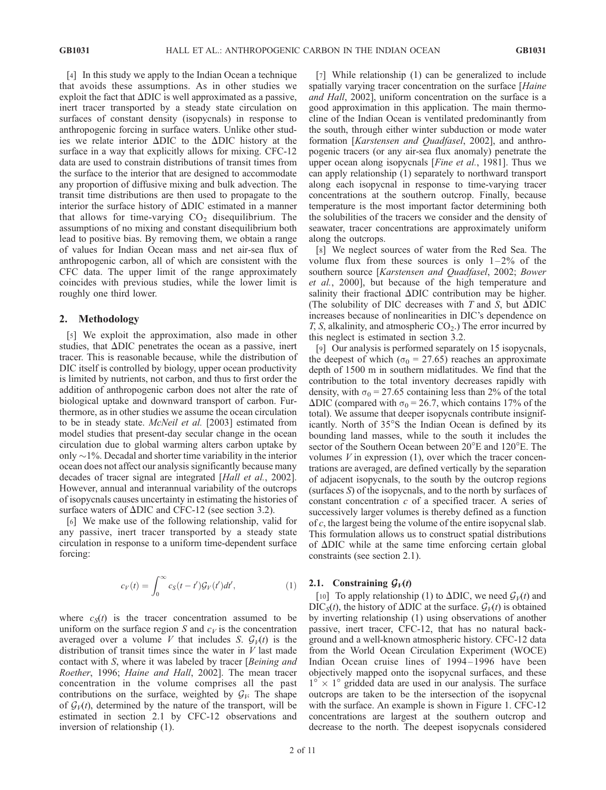[4] In this study we apply to the Indian Ocean a technique that avoids these assumptions. As in other studies we exploit the fact that  $\Delta$ DIC is well approximated as a passive, inert tracer transported by a steady state circulation on surfaces of constant density (isopycnals) in response to anthropogenic forcing in surface waters. Unlike other studies we relate interior  $\Delta$ DIC to the  $\Delta$ DIC history at the surface in a way that explicitly allows for mixing. CFC-12 data are used to constrain distributions of transit times from the surface to the interior that are designed to accommodate any proportion of diffusive mixing and bulk advection. The transit time distributions are then used to propagate to the interior the surface history of  $\Delta$ DIC estimated in a manner that allows for time-varying  $CO<sub>2</sub>$  disequilibrium. The assumptions of no mixing and constant disequilibrium both lead to positive bias. By removing them, we obtain a range of values for Indian Ocean mass and net air-sea flux of anthropogenic carbon, all of which are consistent with the CFC data. The upper limit of the range approximately coincides with previous studies, while the lower limit is roughly one third lower.

#### 2. Methodology

[5] We exploit the approximation, also made in other studies, that  $\Delta$ DIC penetrates the ocean as a passive, inert tracer. This is reasonable because, while the distribution of DIC itself is controlled by biology, upper ocean productivity is limited by nutrients, not carbon, and thus to first order the addition of anthropogenic carbon does not alter the rate of biological uptake and downward transport of carbon. Furthermore, as in other studies we assume the ocean circulation to be in steady state. McNeil et al. [2003] estimated from model studies that present-day secular change in the ocean circulation due to global warming alters carbon uptake by only  $\sim$ 1%. Decadal and shorter time variability in the interior ocean does not affect our analysis significantly because many decades of tracer signal are integrated [Hall et al., 2002]. However, annual and interannual variability of the outcrops of isopycnals causes uncertainty in estimating the histories of surface waters of  $\Delta$ DIC and CFC-12 (see section 3.2).

[6] We make use of the following relationship, valid for any passive, inert tracer transported by a steady state circulation in response to a uniform time-dependent surface forcing:

$$
c_V(t) = \int_0^\infty c_S(t - t') \mathcal{G}_V(t') dt',\tag{1}
$$

where  $c_S(t)$  is the tracer concentration assumed to be uniform on the surface region S and  $c_V$  is the concentration averaged over a volume V that includes S.  $\mathcal{G}_V(t)$  is the distribution of transit times since the water in  $V$  last made contact with S, where it was labeled by tracer [Beining and Roether, 1996; Haine and Hall, 2002]. The mean tracer concentration in the volume comprises all the past contributions on the surface, weighted by  $\mathcal{G}_V$ . The shape of  $\mathcal{G}_V(t)$ , determined by the nature of the transport, will be estimated in section 2.1 by CFC-12 observations and inversion of relationship (1).

[7] While relationship (1) can be generalized to include spatially varying tracer concentration on the surface [*Haine*] and Hall, 2002], uniform concentration on the surface is a good approximation in this application. The main thermocline of the Indian Ocean is ventilated predominantly from the south, through either winter subduction or mode water formation [Karstensen and Quadfasel, 2002], and anthropogenic tracers (or any air-sea flux anomaly) penetrate the upper ocean along isopycnals [Fine et al., 1981]. Thus we can apply relationship (1) separately to northward transport along each isopycnal in response to time-varying tracer concentrations at the southern outcrop. Finally, because temperature is the most important factor determining both the solubilities of the tracers we consider and the density of seawater, tracer concentrations are approximately uniform along the outcrops.

[8] We neglect sources of water from the Red Sea. The volume flux from these sources is only  $1-2\%$  of the southern source [Karstensen and Quadfasel, 2002; Bower et al., 2000], but because of the high temperature and salinity their fractional  $\Delta$ DIC contribution may be higher. (The solubility of DIC decreases with  $T$  and  $S$ , but  $\Delta$ DIC increases because of nonlinearities in DIC's dependence on  $T$ , S, alkalinity, and atmospheric  $CO<sub>2</sub>$ .) The error incurred by this neglect is estimated in section 3.2.

[9] Our analysis is performed separately on 15 isopycnals, the deepest of which ( $\sigma_0$  = 27.65) reaches an approximate depth of 1500 m in southern midlatitudes. We find that the contribution to the total inventory decreases rapidly with density, with  $\sigma_0 = 27.65$  containing less than 2% of the total  $\Delta$ DIC (compared with  $\sigma_0 = 26.7$ , which contains 17% of the total). We assume that deeper isopycnals contribute insignificantly. North of 35°S the Indian Ocean is defined by its bounding land masses, while to the south it includes the sector of the Southern Ocean between 20°E and 120°E. The volumes  $V$  in expression (1), over which the tracer concentrations are averaged, are defined vertically by the separation of adjacent isopycnals, to the south by the outcrop regions (surfaces S) of the isopycnals, and to the north by surfaces of constant concentration  $c$  of a specified tracer. A series of successively larger volumes is thereby defined as a function of c, the largest being the volume of the entire isopycnal slab. This formulation allows us to construct spatial distributions of  $\Delta$ DIC while at the same time enforcing certain global constraints (see section 2.1).

## 2.1. Constraining  $\mathcal{G}_V(t)$

[10] To apply relationship (1) to  $\Delta \text{DIC}$ , we need  $\mathcal{G}_V(t)$  and  $DIC<sub>S</sub>(t)$ , the history of  $ΔDIC$  at the surface.  $G<sub>V</sub>(t)$  is obtained by inverting relationship (1) using observations of another passive, inert tracer, CFC-12, that has no natural background and a well-known atmospheric history. CFC-12 data from the World Ocean Circulation Experiment (WOCE) Indian Ocean cruise lines of 1994–1996 have been objectively mapped onto the isopycnal surfaces, and these  $1^{\circ} \times 1^{\circ}$  gridded data are used in our analysis. The surface outcrops are taken to be the intersection of the isopycnal with the surface. An example is shown in Figure 1. CFC-12 concentrations are largest at the southern outcrop and decrease to the north. The deepest isopycnals considered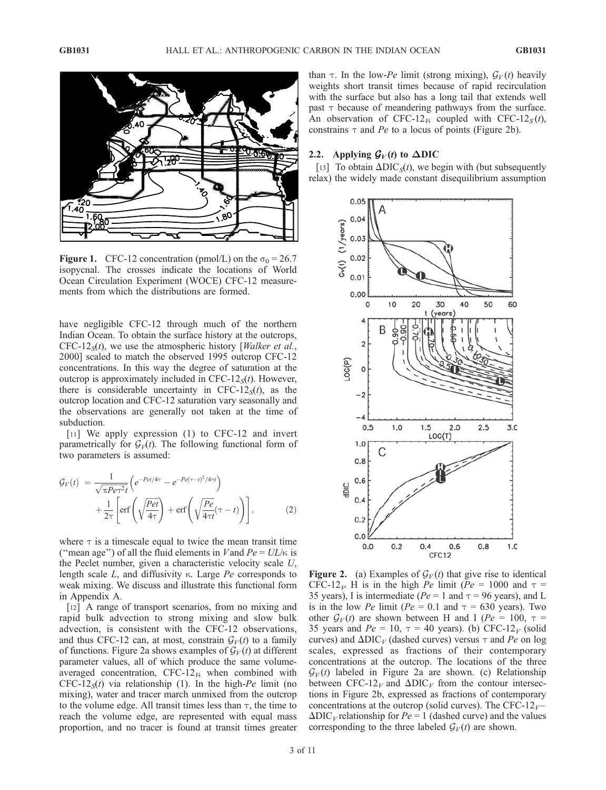

Figure 1. CFC-12 concentration (pmol/L) on the  $\sigma_0 = 26.7$ isopycnal. The crosses indicate the locations of World Ocean Circulation Experiment (WOCE) CFC-12 measurements from which the distributions are formed.

have negligible CFC-12 through much of the northern Indian Ocean. To obtain the surface history at the outcrops, CFC-12 $<sub>S</sub>(t)$ , we use the atmospheric history [Walker et al.,</sub> 2000] scaled to match the observed 1995 outcrop CFC-12 concentrations. In this way the degree of saturation at the outcrop is approximately included in CFC-12 $<sub>S</sub>(t)$ . However,</sub> there is considerable uncertainty in CFC-12 $<sub>S</sub>(t)$ , as the</sub> outcrop location and CFC-12 saturation vary seasonally and the observations are generally not taken at the time of subduction.

[11] We apply expression (1) to CFC-12 and invert parametrically for  $\mathcal{G}_V(t)$ . The following functional form of two parameters is assumed:

$$
\mathcal{G}_V(t) = \frac{1}{\sqrt{\pi P e \tau^2 t}} \left( e^{-P e t / 4\tau} - e^{-P e (\tau - t)^2 / 4\tau t} \right) + \frac{1}{2\tau} \left[ \text{erf}\left(\sqrt{\frac{Pe}{4\tau}}\right) + \text{erf}\left(\sqrt{\frac{Pe}{4\tau t}}(\tau - t)\right) \right],\tag{2}
$$

where  $\tau$  is a timescale equal to twice the mean transit time ("mean age") of all the fluid elements in V and  $Pe = UL/\kappa$  is the Peclet number, given a characteristic velocity scale U, length scale  $L$ , and diffusivity  $\kappa$ . Large  $Pe$  corresponds to weak mixing. We discuss and illustrate this functional form in Appendix A.

[12] A range of transport scenarios, from no mixing and rapid bulk advection to strong mixing and slow bulk advection, is consistent with the CFC-12 observations, and thus CFC-12 can, at most, constrain  $\mathcal{G}_V(t)$  to a family of functions. Figure 2a shows examples of  $\mathcal{G}_V(t)$  at different parameter values, all of which produce the same volumeaveraged concentration,  $CFC-12<sub>K</sub>$ , when combined with CFC-12 $<sub>S</sub>(t)$  via relationship (1). In the high-Pe limit (no</sub> mixing), water and tracer march unmixed from the outcrop to the volume edge. All transit times less than  $\tau$ , the time to reach the volume edge, are represented with equal mass proportion, and no tracer is found at transit times greater

than  $\tau$ . In the low-Pe limit (strong mixing),  $\mathcal{G}_V(t)$  heavily weights short transit times because of rapid recirculation with the surface but also has a long tail that extends well past  $\tau$  because of meandering pathways from the surface. An observation of CFC-12<sub>V</sub>, coupled with CFC-12<sub>S</sub>(t), constrains  $\tau$  and Pe to a locus of points (Figure 2b).

#### 2.2. Applying  $\mathcal{G}_V(t)$  to  $\Delta \text{DIC}$

[13] To obtain  $\Delta \text{DIC}_S(t)$ , we begin with (but subsequently relax) the widely made constant disequilibrium assumption



Figure 2. (a) Examples of  $\mathcal{G}_V(t)$  that give rise to identical CFC-12<sub>V</sub>. H is in the high Pe limit (Pe = 1000 and  $\tau$  = 35 years), I is intermediate ( $Pe = 1$  and  $\tau = 96$  years), and L is in the low Pe limit ( $Pe = 0.1$  and  $\tau = 630$  years). Two other  $G_V(t)$  are shown between H and I ( $Pe = 100$ ,  $\tau =$ 35 years and  $Pe = 10$ ,  $\tau = 40$  years). (b) CFC-12<sub>V</sub> (solid curves) and  $\Delta \text{DIC}_V$  (dashed curves) versus  $\tau$  and Pe on log scales, expressed as fractions of their contemporary concentrations at the outcrop. The locations of the three  $\mathcal{G}_V(t)$  labeled in Figure 2a are shown. (c) Relationship between CFC-12 $_V$  and  $\Delta$ DIC $_V$  from the contour intersections in Figure 2b, expressed as fractions of contemporary concentrations at the outcrop (solid curves). The CFC-12 $_V$ –  $\Delta$ DIC<sub>V</sub> relationship for  $Pe = 1$  (dashed curve) and the values corresponding to the three labeled  $G_V(t)$  are shown.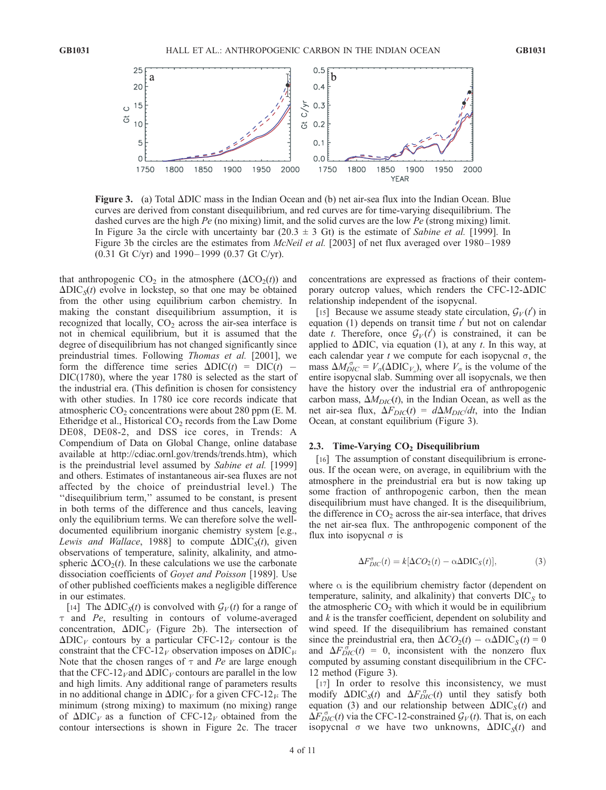

Figure 3. (a) Total  $\Delta$ DIC mass in the Indian Ocean and (b) net air-sea flux into the Indian Ocean. Blue curves are derived from constant disequilibrium, and red curves are for time-varying disequilibrium. The dashed curves are the high  $Pe$  (no mixing) limit, and the solid curves are the low  $Pe$  (strong mixing) limit. In Figure 3a the circle with uncertainty bar (20.3  $\pm$  3 Gt) is the estimate of Sabine et al. [1999]. In Figure 3b the circles are the estimates from *McNeil et al.* [2003] of net flux averaged over 1980–1989 (0.31 Gt C/yr) and 1990– 1999 (0.37 Gt C/yr).

that anthropogenic  $CO_2$  in the atmosphere  $(\Delta CO_2(t))$  and  $\Delta\text{DIC}_S(t)$  evolve in lockstep, so that one may be obtained from the other using equilibrium carbon chemistry. In making the constant disequilibrium assumption, it is recognized that locally,  $CO<sub>2</sub>$  across the air-sea interface is not in chemical equilibrium, but it is assumed that the degree of disequilibrium has not changed significantly since preindustrial times. Following Thomas et al. [2001], we form the difference time series  $\Delta DIC(t) = DIC(t)$ DIC(1780), where the year 1780 is selected as the start of the industrial era. (This definition is chosen for consistency with other studies. In 1780 ice core records indicate that atmospheric  $CO<sub>2</sub>$  concentrations were about 280 ppm (E. M. Etheridge et al., Historical  $CO<sub>2</sub>$  records from the Law Dome DE08, DE08-2, and DSS ice cores, in Trends: A Compendium of Data on Global Change, online database available at http://cdiac.ornl.gov/trends/trends.htm), which is the preindustrial level assumed by Sabine et al. [1999] and others. Estimates of instantaneous air-sea fluxes are not affected by the choice of preindustrial level.) The ''disequilibrium term,'' assumed to be constant, is present in both terms of the difference and thus cancels, leaving only the equilibrium terms. We can therefore solve the welldocumented equilibrium inorganic chemistry system [e.g., Lewis and Wallace, 1988] to compute  $\Delta \text{DIC}_S(t)$ , given observations of temperature, salinity, alkalinity, and atmospheric  $\Delta CO_2(t)$ . In these calculations we use the carbonate dissociation coefficients of Goyet and Poisson [1989]. Use of other published coefficients makes a negligible difference in our estimates.

[14] The  $\Delta \text{DIC}_S(t)$  is convolved with  $\mathcal{G}_V(t)$  for a range of  $\tau$  and Pe, resulting in contours of volume-averaged concentration,  $\Delta DIC_V$  (Figure 2b). The intersection of  $\Delta \text{DIC}_V$  contours by a particular CFC-12<sub>V</sub> contour is the constraint that the CFC-12<sub>V</sub> observation imposes on  $\Delta \text{DIC}_V$ . Note that the chosen ranges of  $\tau$  and Pe are large enough that the CFC-12 $_V$  and  $\Delta$ DIC $_V$  contours are parallel in the low and high limits. Any additional range of parameters results in no additional change in  $\Delta \text{DIC}_V$  for a given CFC-12<sub>V</sub>. The minimum (strong mixing) to maximum (no mixing) range of  $\Delta DIC_V$  as a function of CFC-12<sub>V</sub> obtained from the contour intersections is shown in Figure 2c. The tracer

concentrations are expressed as fractions of their contemporary outcrop values, which renders the CFC-12- $\Delta$ DIC relationship independent of the isopycnal.

[15] Because we assume steady state circulation,  $\mathcal{G}_V(t')$  in equation (1) depends on transit time  $t'$  but not on calendar date t. Therefore, once  $G_V(t')$  is constrained, it can be applied to  $\Delta$ DIC, via equation (1), at any t. In this way, at each calendar year  $t$  we compute for each isopycnal  $\sigma$ , the mass  $\Delta M_{DIC}^{\sigma} = V_{\sigma} (\Delta \text{DIC}_{V_{\sigma}})$ , where  $V_{\sigma}$  is the volume of the entire isopycnal slab. Summing over all isopycnals, we then have the history over the industrial era of anthropogenic carbon mass,  $\Delta M_{DIC}(t)$ , in the Indian Ocean, as well as the net air-sea flux,  $\Delta F_{DIC}(t) = d\Delta M_{DIC}/dt$ , into the Indian Ocean, at constant equilibrium (Figure 3).

## 2.3. Time-Varying  $CO<sub>2</sub>$  Disequilibrium

[16] The assumption of constant disequilibrium is erroneous. If the ocean were, on average, in equilibrium with the atmosphere in the preindustrial era but is now taking up some fraction of anthropogenic carbon, then the mean disequilibrium must have changed. It is the disequilibrium, the difference in  $CO<sub>2</sub>$  across the air-sea interface, that drives the net air-sea flux. The anthropogenic component of the flux into isopycnal  $\sigma$  is

$$
\Delta F_{DIC}^{\sigma}(t) = k[\Delta CO_2(t) - \alpha \Delta DIC_S(t)],\tag{3}
$$

where  $\alpha$  is the equilibrium chemistry factor (dependent on temperature, salinity, and alkalinity) that converts  $DIC<sub>S</sub>$  to the atmospheric  $CO<sub>2</sub>$  with which it would be in equilibrium and k is the transfer coefficient, dependent on solubility and wind speed. If the disequilibrium has remained constant since the preindustrial era, then  $\Delta CO_2(t) - \alpha \Delta DIC_S(t) = 0$ and  $\Delta F_{DIC}^{\sigma}(t) = 0$ , inconsistent with the nonzero flux computed by assuming constant disequilibrium in the CFC-12 method (Figure 3).

[17] In order to resolve this inconsistency, we must modify  $\Delta DIC_S(t)$  and  $\Delta F_{DIC}^{\sigma}(t)$  until they satisfy both equation (3) and our relationship between  $\Delta DIC_S(t)$  and  $\Delta F_{DIC}^{\sigma}(t)$  via the CFC-12-constrained  $\mathcal{G}_V(t)$ . That is, on each isopycnal  $\sigma$  we have two unknowns,  $\Delta DIC_S(t)$  and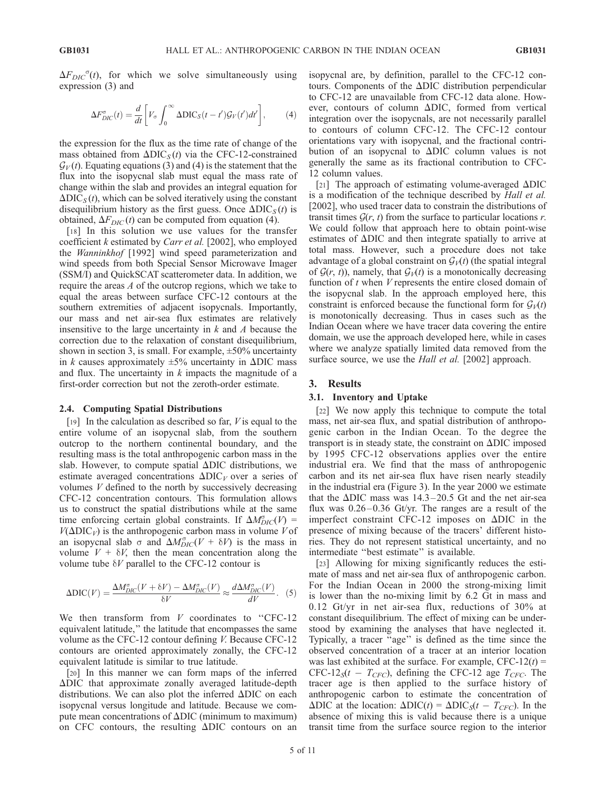$\Delta F_{DIC}^{\sigma}(t)$ , for which we solve simultaneously using expression (3) and

$$
\Delta F_{DIC}^{\sigma}(t) = \frac{d}{dt} \left[ V_{\sigma} \int_0^{\infty} \Delta \text{DIC}_S(t - t') \mathcal{G}_V(t') dt' \right],\tag{4}
$$

the expression for the flux as the time rate of change of the mass obtained from  $\Delta \text{DIC}_S(t)$  via the CFC-12-constrained  $\mathcal{G}_V(t)$ . Equating equations (3) and (4) is the statement that the flux into the isopycnal slab must equal the mass rate of change within the slab and provides an integral equation for  $\Delta \text{DIC}_S(t)$ , which can be solved iteratively using the constant disequilibrium history as the first guess. Once  $\Delta \text{DIC}_S(t)$  is obtained,  $\Delta F_{DIC}(t)$  can be computed from equation (4).

[18] In this solution we use values for the transfer coefficient k estimated by Carr et al. [2002], who employed the Wanninkhof [1992] wind speed parameterization and wind speeds from both Special Sensor Microwave Imager (SSM/I) and QuickSCAT scatterometer data. In addition, we require the areas A of the outcrop regions, which we take to equal the areas between surface CFC-12 contours at the southern extremities of adjacent isopycnals. Importantly, our mass and net air-sea flux estimates are relatively insensitive to the large uncertainty in  $k$  and  $A$  because the correction due to the relaxation of constant disequilibrium, shown in section 3, is small. For example,  $\pm 50\%$  uncertainty in k causes approximately  $\pm 5\%$  uncertainty in  $\Delta$ DIC mass and flux. The uncertainty in  $k$  impacts the magnitude of a first-order correction but not the zeroth-order estimate.

#### 2.4. Computing Spatial Distributions

[19] In the calculation as described so far,  $V$  is equal to the entire volume of an isopycnal slab, from the southern outcrop to the northern continental boundary, and the resulting mass is the total anthropogenic carbon mass in the slab. However, to compute spatial  $\Delta$ DIC distributions, we estimate averaged concentrations  $\Delta DIC_V$  over a series of volumes V defined to the north by successively decreasing CFC-12 concentration contours. This formulation allows us to construct the spatial distributions while at the same time enforcing certain global constraints. If  $\Delta M_{DIC}^{\sigma}(V)$  =  $V(\Delta \text{DIC}_V)$  is the anthropogenic carbon mass in volume V of an isopycnal slab  $\sigma$  and  $\Delta M_{DIC}^{\sigma}(V + \delta V)$  is the mass in volume  $V + \delta V$ , then the mean concentration along the volume tube  $\delta V$  parallel to the CFC-12 contour is

$$
\Delta \text{DIC}(V) = \frac{\Delta M_{DIC}^{\sigma}(V + \delta V) - \Delta M_{DIC}^{\sigma}(V)}{\delta V} \approx \frac{d \Delta M_{DIC}^{\sigma}(V)}{dV}.
$$
 (5)

We then transform from  $V$  coordinates to "CFC-12" equivalent latitude,'' the latitude that encompasses the same volume as the CFC-12 contour defining V. Because CFC-12 contours are oriented approximately zonally, the CFC-12 equivalent latitude is similar to true latitude.

[20] In this manner we can form maps of the inferred  $\Delta$ DIC that approximate zonally averaged latitude-depth distributions. We can also plot the inferred  $\Delta$ DIC on each isopycnal versus longitude and latitude. Because we compute mean concentrations of  $\Delta$ DIC (minimum to maximum) on CFC contours, the resulting  $\Delta$ DIC contours on an isopycnal are, by definition, parallel to the CFC-12 contours. Components of the  $\Delta$ DIC distribution perpendicular to CFC-12 are unavailable from CFC-12 data alone. However, contours of column  $\Delta$ DIC, formed from vertical integration over the isopycnals, are not necessarily parallel to contours of column CFC-12. The CFC-12 contour orientations vary with isopycnal, and the fractional contribution of an isopycnal to  $\Delta$ DIC column values is not generally the same as its fractional contribution to CFC-12 column values.

[21] The approach of estimating volume-averaged  $\Delta$ DIC is a modification of the technique described by Hall et al. [2002], who used tracer data to constrain the distributions of transit times  $G(r, t)$  from the surface to particular locations r. We could follow that approach here to obtain point-wise estimates of  $\Delta$ DIC and then integrate spatially to arrive at total mass. However, such a procedure does not take advantage of a global constraint on  $\mathcal{G}_V(t)$  (the spatial integral of  $G(r, t)$ ), namely, that  $G<sub>V</sub>(t)$  is a monotonically decreasing function of  $t$  when  $V$  represents the entire closed domain of the isopycnal slab. In the approach employed here, this constraint is enforced because the functional form for  $\mathcal{G}_V(t)$ is monotonically decreasing. Thus in cases such as the Indian Ocean where we have tracer data covering the entire domain, we use the approach developed here, while in cases where we analyze spatially limited data removed from the surface source, we use the *Hall et al.* [2002] approach.

#### 3. Results

## 3.1. Inventory and Uptake

[22] We now apply this technique to compute the total mass, net air-sea flux, and spatial distribution of anthropogenic carbon in the Indian Ocean. To the degree the transport is in steady state, the constraint on  $\Delta$ DIC imposed by 1995 CFC-12 observations applies over the entire industrial era. We find that the mass of anthropogenic carbon and its net air-sea flux have risen nearly steadily in the industrial era (Figure 3). In the year 2000 we estimate that the  $\Delta$ DIC mass was 14.3–20.5 Gt and the net air-sea flux was  $0.26 - 0.36$  Gt/yr. The ranges are a result of the imperfect constraint CFC-12 imposes on  $\Delta DIC$  in the presence of mixing because of the tracers' different histories. They do not represent statistical uncertainty, and no intermediate ''best estimate'' is available.

[23] Allowing for mixing significantly reduces the estimate of mass and net air-sea flux of anthropogenic carbon. For the Indian Ocean in 2000 the strong-mixing limit is lower than the no-mixing limit by 6.2 Gt in mass and 0.12 Gt/yr in net air-sea flux, reductions of 30% at constant disequilibrium. The effect of mixing can be understood by examining the analyses that have neglected it. Typically, a tracer ''age'' is defined as the time since the observed concentration of a tracer at an interior location was last exhibited at the surface. For example,  $CFC-12(t)$  = CFC-12<sub>S</sub> $(t - T_{CFC})$ , defining the CFC-12 age  $T_{CFC}$ . The tracer age is then applied to the surface history of anthropogenic carbon to estimate the concentration of  $\Delta$ DIC at the location:  $\Delta$ DIC(t) =  $\Delta$ DIC<sub>S</sub>(t -  $T_{CFC}$ ). In the absence of mixing this is valid because there is a unique transit time from the surface source region to the interior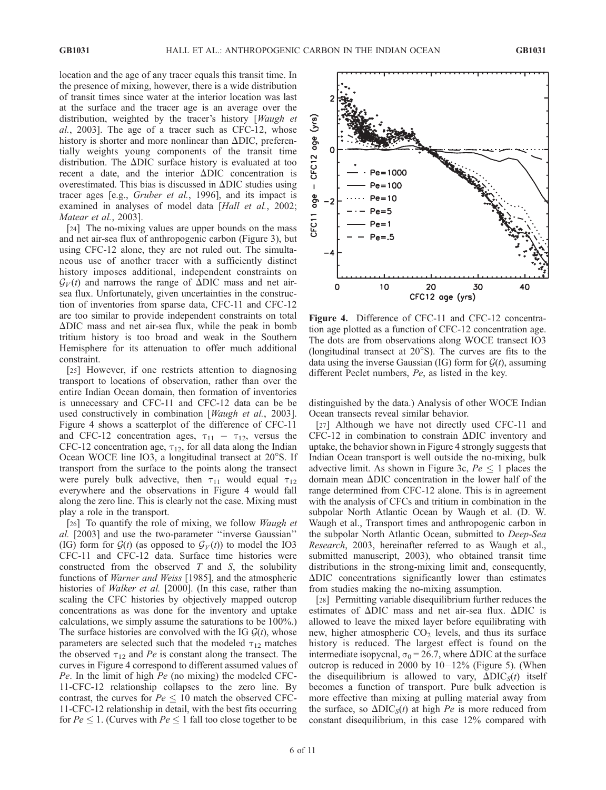location and the age of any tracer equals this transit time. In the presence of mixing, however, there is a wide distribution of transit times since water at the interior location was last at the surface and the tracer age is an average over the distribution, weighted by the tracer's history [Waugh et al., 2003]. The age of a tracer such as CFC-12, whose history is shorter and more nonlinear than  $\Delta$ DIC, preferentially weights young components of the transit time distribution. The  $\Delta$ DIC surface history is evaluated at too recent a date, and the interior  $\Delta$ DIC concentration is overestimated. This bias is discussed in  $\Delta$ DIC studies using tracer ages [e.g., Gruber et al., 1996], and its impact is examined in analyses of model data [Hall et al., 2002; Matear et al., 2003].

[24] The no-mixing values are upper bounds on the mass and net air-sea flux of anthropogenic carbon (Figure 3), but using CFC-12 alone, they are not ruled out. The simultaneous use of another tracer with a sufficiently distinct history imposes additional, independent constraints on  $\mathcal{G}_V(t)$  and narrows the range of  $\Delta$ DIC mass and net airsea flux. Unfortunately, given uncertainties in the construction of inventories from sparse data, CFC-11 and CFC-12 are too similar to provide independent constraints on total  $\Delta$ DIC mass and net air-sea flux, while the peak in bomb tritium history is too broad and weak in the Southern Hemisphere for its attenuation to offer much additional constraint.

[25] However, if one restricts attention to diagnosing transport to locations of observation, rather than over the entire Indian Ocean domain, then formation of inventories is unnecessary and CFC-11 and CFC-12 data can be be used constructively in combination [Waugh et al., 2003]. Figure 4 shows a scatterplot of the difference of CFC-11 and CFC-12 concentration ages,  $\tau_{11} - \tau_{12}$ , versus the CFC-12 concentration age,  $\tau_{12}$ , for all data along the Indian Ocean WOCE line IO3, a longitudinal transect at 20°S. If transport from the surface to the points along the transect were purely bulk advective, then  $\tau_{11}$  would equal  $\tau_{12}$ everywhere and the observations in Figure 4 would fall along the zero line. This is clearly not the case. Mixing must play a role in the transport.

[26] To quantify the role of mixing, we follow *Waugh et* al. [2003] and use the two-parameter ''inverse Gaussian'' (IG) form for  $\mathcal{G}(t)$  (as opposed to  $\mathcal{G}_V(t)$ ) to model the IO3 CFC-11 and CFC-12 data. Surface time histories were constructed from the observed  $T$  and  $S$ , the solubility functions of Warner and Weiss [1985], and the atmospheric histories of *Walker et al.* [2000]. (In this case, rather than scaling the CFC histories by objectively mapped outcrop concentrations as was done for the inventory and uptake calculations, we simply assume the saturations to be 100%.) The surface histories are convolved with the IG  $G(t)$ , whose parameters are selected such that the modeled  $\tau_{12}$  matches the observed  $\tau_{12}$  and Pe is constant along the transect. The curves in Figure 4 correspond to different assumed values of Pe. In the limit of high Pe (no mixing) the modeled CFC-11-CFC-12 relationship collapses to the zero line. By contrast, the curves for  $Pe \leq 10$  match the observed CFC-11-CFC-12 relationship in detail, with the best fits occurring for  $Pe \le 1$ . (Curves with  $Pe \le 1$  fall too close together to be



Figure 4. Difference of CFC-11 and CFC-12 concentration age plotted as a function of CFC-12 concentration age. The dots are from observations along WOCE transect IO3 (longitudinal transect at  $20^{\circ}$ S). The curves are fits to the data using the inverse Gaussian (IG) form for  $G(t)$ , assuming different Peclet numbers, Pe, as listed in the key.

distinguished by the data.) Analysis of other WOCE Indian Ocean transects reveal similar behavior.

[27] Although we have not directly used CFC-11 and  $CFC-12$  in combination to constrain  $\Delta DIC$  inventory and uptake, the behavior shown in Figure 4 strongly suggests that Indian Ocean transport is well outside the no-mixing, bulk advective limit. As shown in Figure 3c,  $Pe \le 1$  places the domain mean  $\Delta$ DIC concentration in the lower half of the range determined from CFC-12 alone. This is in agreement with the analysis of CFCs and tritium in combination in the subpolar North Atlantic Ocean by Waugh et al. (D. W. Waugh et al., Transport times and anthropogenic carbon in the subpolar North Atlantic Ocean, submitted to Deep-Sea Research, 2003, hereinafter referred to as Waugh et al., submitted manuscript, 2003), who obtained transit time distributions in the strong-mixing limit and, consequently,  $\Delta$ DIC concentrations significantly lower than estimates from studies making the no-mixing assumption.

[28] Permitting variable disequilibrium further reduces the estimates of  $\Delta$ DIC mass and net air-sea flux.  $\Delta$ DIC is allowed to leave the mixed layer before equilibrating with new, higher atmospheric  $CO<sub>2</sub>$  levels, and thus its surface history is reduced. The largest effect is found on the intermediate isopycnal,  $\sigma_0 = 26.7$ , where  $\Delta$ DIC at the surface outcrop is reduced in 2000 by  $10-12\%$  (Figure 5). (When the disequilibrium is allowed to vary,  $\Delta DIC_S(t)$  itself becomes a function of transport. Pure bulk advection is more effective than mixing at pulling material away from the surface, so  $\Delta \text{DIC}_S(t)$  at high Pe is more reduced from constant disequilibrium, in this case 12% compared with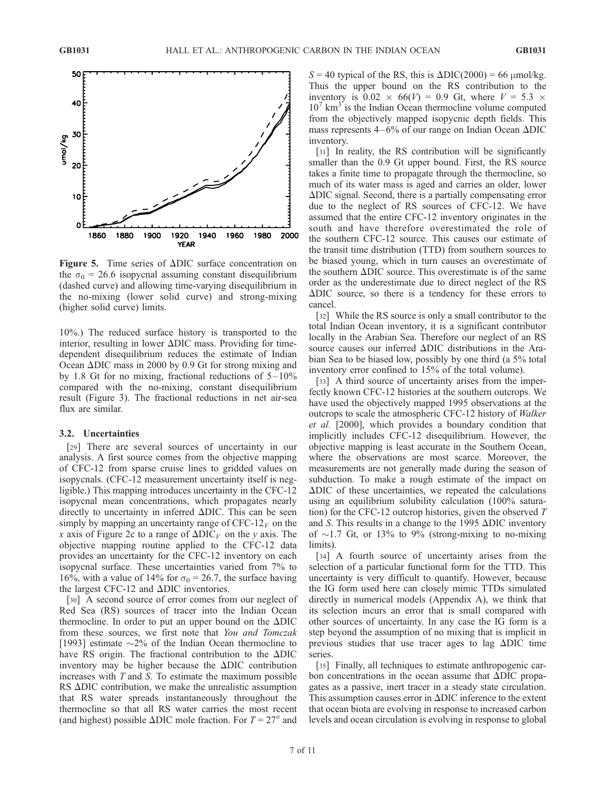

Figure 5. Time series of  $\Delta$ DIC surface concentration on the  $\sigma_0$  = 26.6 isopycnal assuming constant disequilibrium (dashed curve) and allowing time-varying disequilibrium in the no-mixing (lower solid curve) and strong-mixing (higher solid curve) limits.

10%.) The reduced surface history is transported to the interior, resulting in lower  $\Delta$ DIC mass. Providing for timedependent disequilibrium reduces the estimate of Indian Ocean  $\Delta$ DIC mass in 2000 by 0.9 Gt for strong mixing and by 1.8 Gt for no mixing, fractional reductions of  $5-10\%$ compared with the no-mixing, constant disequilibrium result (Figure 3). The fractional reductions in net air-sea flux are similar.

#### 3.2. Uncertainties

[29] There are several sources of uncertainty in our analysis. A first source comes from the objective mapping of CFC-12 from sparse cruise lines to gridded values on isopycnals. (CFC-12 measurement uncertainty itself is negligible.) This mapping introduces uncertainty in the CFC-12 isopycnal mean concentrations, which propagates nearly directly to uncertainty in inferred  $\Delta$ DIC. This can be seen simply by mapping an uncertainty range of CFC-12 $_V$  on the x axis of Figure 2c to a range of  $\Delta DIC_V$  on the y axis. The objective mapping routine applied to the CFC-12 data provides an uncertainty for the CFC-12 inventory on each isopycnal surface. These uncertainties varied from 7% to 16%, with a value of 14% for  $\sigma_0 = 26.7$ , the surface having the largest CFC-12 and  $\Delta$ DIC inventories.

[30] A second source of error comes from our neglect of Red Sea (RS) sources of tracer into the Indian Ocean thermocline. In order to put an upper bound on the  $\Delta$ DIC from these sources, we first note that You and Tomczak [1993] estimate  $\sim$ 2% of the Indian Ocean thermocline to have RS origin. The fractional contribution to the  $\Delta$ DIC inventory may be higher because the  $\Delta$ DIC contribution increases with  $T$  and  $S$ . To estimate the maximum possible RS  $\Delta$ DIC contribution, we make the unrealistic assumption that RS water spreads instantaneously throughout the thermocline so that all RS water carries the most recent (and highest) possible  $\Delta$ DIC mole fraction. For  $T = 27^{\circ}$  and

 $S = 40$  typical of the RS, this is  $\Delta \text{DIC}(2000) = 66 \mu \text{mol/kg}$ . Thus the upper bound on the RS contribution to the inventory is  $0.02 \times 66(V) = 0.9$  Gt, where  $V = 5.3 \times$  $10<sup>7</sup>$  km<sup>3</sup> is the Indian Ocean thermocline volume computed from the objectively mapped isopycnic depth fields. This mass represents  $4-6\%$  of our range on Indian Ocean  $\Delta$ DIC inventory.

[31] In reality, the RS contribution will be significantly smaller than the 0.9 Gt upper bound. First, the RS source takes a finite time to propagate through the thermocline, so much of its water mass is aged and carries an older, lower  $\Delta$ DIC signal. Second, there is a partially compensating error due to the neglect of RS sources of CFC-12. We have assumed that the entire CFC-12 inventory originates in the south and have therefore overestimated the role of the southern CFC-12 source. This causes our estimate of the transit time distribution (TTD) from southern sources to be biased young, which in turn causes an overestimate of the southern  $\Delta$ DIC source. This overestimate is of the same order as the underestimate due to direct neglect of the RS  $\Delta$ DIC source, so there is a tendency for these errors to cancel.

[32] While the RS source is only a small contributor to the total Indian Ocean inventory, it is a significant contributor locally in the Arabian Sea. Therefore our neglect of an RS source causes our inferred  $\Delta$ DIC distributions in the Arabian Sea to be biased low, possibly by one third (a 5% total inventory error confined to 15% of the total volume).

[33] A third source of uncertainty arises from the imperfectly known CFC-12 histories at the southern outcrops. We have used the objectively mapped 1995 observations at the outcrops to scale the atmospheric CFC-12 history of Walker et al. [2000], which provides a boundary condition that implicitly includes CFC-12 disequilibrium. However, the objective mapping is least accurate in the Southern Ocean, where the observations are most scarce. Moreover, the measurements are not generally made during the season of subduction. To make a rough estimate of the impact on  $\Delta$ DIC of these uncertainties, we repeated the calculations using an equilibrium solubility calculation (100% saturation) for the CFC-12 outcrop histories, given the observed  $T$ and S. This results in a change to the 1995  $\Delta$ DIC inventory of  $\sim$ 1.7 Gt, or 13% to 9% (strong-mixing to no-mixing limits).

[34] A fourth source of uncertainty arises from the selection of a particular functional form for the TTD. This uncertainty is very difficult to quantify. However, because the IG form used here can closely mimic TTDs simulated directly in numerical models (Appendix A), we think that its selection incurs an error that is small compared with other sources of uncertainty. In any case the IG form is a step beyond the assumption of no mixing that is implicit in previous studies that use tracer ages to lag  $\Delta$ DIC time series.

[35] Finally, all techniques to estimate anthropogenic carbon concentrations in the ocean assume that  $\Delta$ DIC propagates as a passive, inert tracer in a steady state circulation. This assumption causes error in  $\Delta$ DIC inference to the extent that ocean biota are evolving in response to increased carbon levels and ocean circulation is evolving in response to global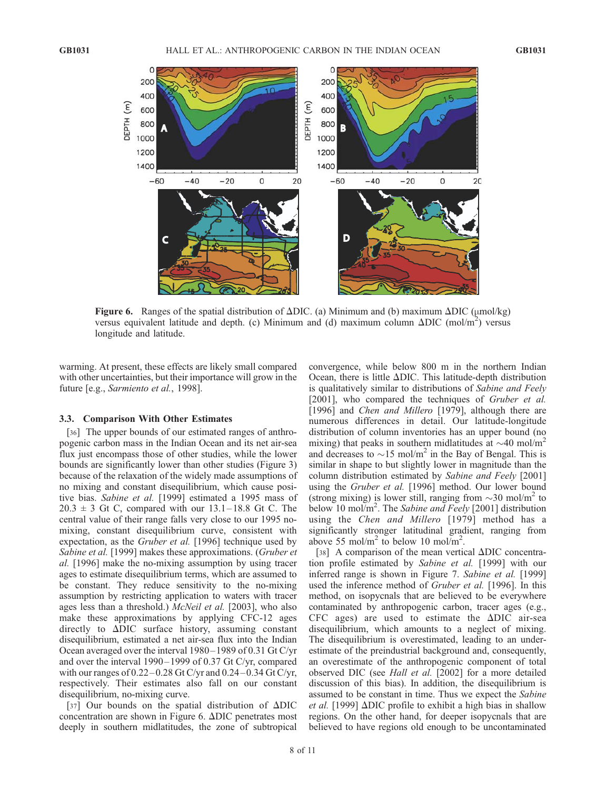

Figure 6. Ranges of the spatial distribution of  $\Delta$ DIC. (a) Minimum and (b) maximum  $\Delta$ DIC ( $\mu$ mol/kg) versus equivalent latitude and depth. (c) Minimum and (d) maximum column  $\Delta DIC$  (mol/m<sup>2</sup>) versus longitude and latitude.

warming. At present, these effects are likely small compared with other uncertainties, but their importance will grow in the future [e.g., Sarmiento et al., 1998].

## 3.3. Comparison With Other Estimates

[36] The upper bounds of our estimated ranges of anthropogenic carbon mass in the Indian Ocean and its net air-sea flux just encompass those of other studies, while the lower bounds are significantly lower than other studies (Figure 3) because of the relaxation of the widely made assumptions of no mixing and constant disequilibrium, which cause positive bias. Sabine et al. [1999] estimated a 1995 mass of  $20.3 \pm 3$  Gt C, compared with our  $13.1 - 18.8$  Gt C. The central value of their range falls very close to our 1995 nomixing, constant disequilibrium curve, consistent with expectation, as the Gruber et al. [1996] technique used by Sabine et al. [1999] makes these approximations. (Gruber et al. [1996] make the no-mixing assumption by using tracer ages to estimate disequilibrium terms, which are assumed to be constant. They reduce sensitivity to the no-mixing assumption by restricting application to waters with tracer ages less than a threshold.) McNeil et al. [2003], who also make these approximations by applying CFC-12 ages directly to  $\Delta$ DIC surface history, assuming constant disequilibrium, estimated a net air-sea flux into the Indian Ocean averaged over the interval 1980– 1989 of 0.31 Gt C/yr and over the interval 1990 – 1999 of 0.37 Gt C/yr, compared with our ranges of 0.22 – 0.28 Gt C/yr and 0.24 – 0.34 Gt C/yr, respectively. Their estimates also fall on our constant disequilibrium, no-mixing curve.

[37] Our bounds on the spatial distribution of  $\Delta DIC$ concentration are shown in Figure 6.  $\Delta$ DIC penetrates most deeply in southern midlatitudes, the zone of subtropical convergence, while below 800 m in the northern Indian Ocean, there is little  $\Delta$ DIC. This latitude-depth distribution is qualitatively similar to distributions of Sabine and Feely [2001], who compared the techniques of *Gruber et al.* [1996] and *Chen and Millero* [1979], although there are numerous differences in detail. Our latitude-longitude distribution of column inventories has an upper bound (no mixing) that peaks in southern midlatitudes at  $\sim$ 40 mol/m<sup>2</sup> and decreases to  $\sim$ 15 mol/m<sup>2</sup> in the Bay of Bengal. This is similar in shape to but slightly lower in magnitude than the column distribution estimated by Sabine and Feely [2001] using the *Gruber et al.* [1996] method. Our lower bound (strong mixing) is lower still, ranging from  $\sim$ 30 mol/m<sup>2</sup> to below 10 mol/m<sup>2</sup>. The Sabine and Feely [2001] distribution using the Chen and Millero [1979] method has a significantly stronger latitudinal gradient, ranging from above 55 mol/m<sup>2</sup> to below 10 mol/m<sup>2</sup>.

[38] A comparison of the mean vertical  $\Delta$ DIC concentration profile estimated by Sabine et al. [1999] with our inferred range is shown in Figure 7. Sabine et al. [1999] used the inference method of Gruber et al. [1996]. In this method, on isopycnals that are believed to be everywhere contaminated by anthropogenic carbon, tracer ages (e.g., CFC ages) are used to estimate the  $\Delta$ DIC air-sea disequilibrium, which amounts to a neglect of mixing. The disequilibrium is overestimated, leading to an underestimate of the preindustrial background and, consequently, an overestimate of the anthropogenic component of total observed DIC (see Hall et al. [2002] for a more detailed discussion of this bias). In addition, the disequilibrium is assumed to be constant in time. Thus we expect the Sabine et al. [1999]  $\Delta$ DIC profile to exhibit a high bias in shallow regions. On the other hand, for deeper isopycnals that are believed to have regions old enough to be uncontaminated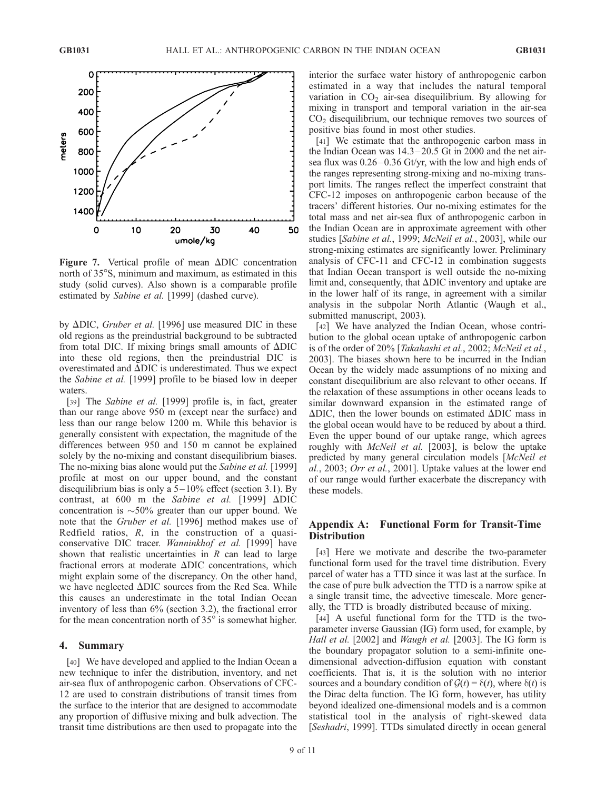

Figure 7. Vertical profile of mean  $\Delta$ DIC concentration north of 35°S, minimum and maximum, as estimated in this study (solid curves). Also shown is a comparable profile estimated by Sabine et al. [1999] (dashed curve).

by  $\Delta$ DIC, *Gruber et al.* [1996] use measured DIC in these old regions as the preindustrial background to be subtracted from total DIC. If mixing brings small amounts of  $\Delta$ DIC into these old regions, then the preindustrial DIC is overestimated and  $\Delta$ DIC is underestimated. Thus we expect the Sabine et al. [1999] profile to be biased low in deeper waters.

[39] The Sabine et al. [1999] profile is, in fact, greater than our range above 950 m (except near the surface) and less than our range below 1200 m. While this behavior is generally consistent with expectation, the magnitude of the differences between 950 and 150 m cannot be explained solely by the no-mixing and constant disequilibrium biases. The no-mixing bias alone would put the Sabine et al. [1999] profile at most on our upper bound, and the constant disequilibrium bias is only a  $5-10\%$  effect (section 3.1). By contrast, at 600 m the Sabine et al. [1999]  $\Delta$ DIC concentration is  $\sim 50\%$  greater than our upper bound. We note that the Gruber et al. [1996] method makes use of Redfield ratios,  $R$ , in the construction of a quasiconservative DIC tracer. Wanninkhof et al. [1999] have shown that realistic uncertainties in  $R$  can lead to large fractional errors at moderate  $\Delta$ DIC concentrations, which might explain some of the discrepancy. On the other hand, we have neglected  $\Delta$ DIC sources from the Red Sea. While this causes an underestimate in the total Indian Ocean inventory of less than 6% (section 3.2), the fractional error for the mean concentration north of  $35^\circ$  is somewhat higher.

## 4. Summary

[40] We have developed and applied to the Indian Ocean a new technique to infer the distribution, inventory, and net air-sea flux of anthropogenic carbon. Observations of CFC-12 are used to constrain distributions of transit times from the surface to the interior that are designed to accommodate any proportion of diffusive mixing and bulk advection. The transit time distributions are then used to propagate into the

interior the surface water history of anthropogenic carbon estimated in a way that includes the natural temporal variation in  $CO<sub>2</sub>$  air-sea disequilibrium. By allowing for mixing in transport and temporal variation in the air-sea  $CO<sub>2</sub>$  disequilibrium, our technique removes two sources of positive bias found in most other studies.

[41] We estimate that the anthropogenic carbon mass in the Indian Ocean was 14.3-20.5 Gt in 2000 and the net airsea flux was  $0.26 - 0.36$  Gt/yr, with the low and high ends of the ranges representing strong-mixing and no-mixing transport limits. The ranges reflect the imperfect constraint that CFC-12 imposes on anthropogenic carbon because of the tracers' different histories. Our no-mixing estimates for the total mass and net air-sea flux of anthropogenic carbon in the Indian Ocean are in approximate agreement with other studies [Sabine et al., 1999; McNeil et al., 2003], while our strong-mixing estimates are significantly lower. Preliminary analysis of CFC-11 and CFC-12 in combination suggests that Indian Ocean transport is well outside the no-mixing limit and, consequently, that  $\Delta$ DIC inventory and uptake are in the lower half of its range, in agreement with a similar analysis in the subpolar North Atlantic (Waugh et al., submitted manuscript, 2003).

[42] We have analyzed the Indian Ocean, whose contribution to the global ocean uptake of anthropogenic carbon is of the order of 20% [Takahashi et al., 2002; McNeil et al., 2003]. The biases shown here to be incurred in the Indian Ocean by the widely made assumptions of no mixing and constant disequilibrium are also relevant to other oceans. If the relaxation of these assumptions in other oceans leads to similar downward expansion in the estimated range of  $\Delta$ DIC, then the lower bounds on estimated  $\Delta$ DIC mass in the global ocean would have to be reduced by about a third. Even the upper bound of our uptake range, which agrees roughly with *McNeil et al.* [2003], is below the uptake predicted by many general circulation models [McNeil et al., 2003; Orr et al., 2001]. Uptake values at the lower end of our range would further exacerbate the discrepancy with these models.

## Appendix A: Functional Form for Transit-Time **Distribution**

[43] Here we motivate and describe the two-parameter functional form used for the travel time distribution. Every parcel of water has a TTD since it was last at the surface. In the case of pure bulk advection the TTD is a narrow spike at a single transit time, the advective timescale. More generally, the TTD is broadly distributed because of mixing.

[44] A useful functional form for the TTD is the twoparameter inverse Gaussian (IG) form used, for example, by Hall et al. [2002] and *Waugh et al.* [2003]. The IG form is the boundary propagator solution to a semi-infinite onedimensional advection-diffusion equation with constant coefficients. That is, it is the solution with no interior sources and a boundary condition of  $G(t) = \delta(t)$ , where  $\delta(t)$  is the Dirac delta function. The IG form, however, has utility beyond idealized one-dimensional models and is a common statistical tool in the analysis of right-skewed data [Seshadri, 1999]. TTDs simulated directly in ocean general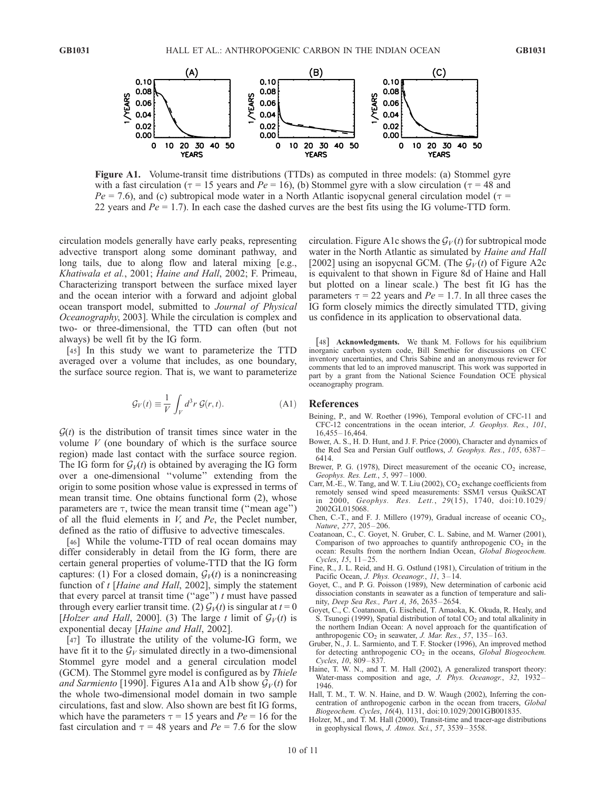

Figure A1. Volume-transit time distributions (TTDs) as computed in three models: (a) Stommel gyre with a fast circulation ( $\tau = 15$  years and  $Pe = 16$ ), (b) Stommel gyre with a slow circulation ( $\tau = 48$  and  $Pe = 7.6$ ), and (c) subtropical mode water in a North Atlantic isopycnal general circulation model ( $\tau$  = 22 years and  $Pe = 1.7$ ). In each case the dashed curves are the best fits using the IG volume-TTD form.

circulation models generally have early peaks, representing advective transport along some dominant pathway, and long tails, due to along flow and lateral mixing [e.g., Khatiwala et al., 2001; Haine and Hall, 2002; F. Primeau, Characterizing transport between the surface mixed layer and the ocean interior with a forward and adjoint global ocean transport model, submitted to Journal of Physical Oceanography, 2003]. While the circulation is complex and two- or three-dimensional, the TTD can often (but not always) be well fit by the IG form.

[45] In this study we want to parameterize the TTD averaged over a volume that includes, as one boundary, the surface source region. That is, we want to parameterize

$$
\mathcal{G}_V(t) \equiv \frac{1}{V} \int_V d^3r \, \mathcal{G}(r, t). \tag{A1}
$$

 $G(t)$  is the distribution of transit times since water in the volume  $V$  (one boundary of which is the surface source region) made last contact with the surface source region. The IG form for  $\mathcal{G}_V(t)$  is obtained by averaging the IG form over a one-dimensional ''volume'' extending from the origin to some position whose value is expressed in terms of mean transit time. One obtains functional form (2), whose parameters are  $\tau$ , twice the mean transit time ("mean age") of all the fluid elements in  $V$ , and  $Pe$ , the Peclet number, defined as the ratio of diffusive to advective timescales.

[46] While the volume-TTD of real ocean domains may differ considerably in detail from the IG form, there are certain general properties of volume-TTD that the IG form captures: (1) For a closed domain,  $G_V(t)$  is a nonincreasing function of t [Haine and Hall, 2002], simply the statement that every parcel at transit time ("age")  $t$  must have passed through every earlier transit time. (2)  $\mathcal{G}_V(t)$  is singular at  $t = 0$ [Holzer and Hall, 2000]. (3) The large t limit of  $\mathcal{G}_V(t)$  is exponential decay [Haine and Hall, 2002].

[47] To illustrate the utility of the volume-IG form, we have fit it to the  $\mathcal{G}_V$  simulated directly in a two-dimensional Stommel gyre model and a general circulation model (GCM). The Stommel gyre model is configured as by Thiele and Sarmiento [1990]. Figures A1a and A1b show  $\mathcal{G}_V(t)$  for the whole two-dimensional model domain in two sample circulations, fast and slow. Also shown are best fit IG forms, which have the parameters  $\tau = 15$  years and  $Pe = 16$  for the fast circulation and  $\tau = 48$  years and  $Pe = 7.6$  for the slow circulation. Figure A1c shows the  $\mathcal{G}_V(t)$  for subtropical mode water in the North Atlantic as simulated by Haine and Hall [2002] using an isopycnal GCM. (The  $G_V(t)$  of Figure A2c is equivalent to that shown in Figure 8d of Haine and Hall but plotted on a linear scale.) The best fit IG has the parameters  $\tau = 22$  years and  $Pe = 1.7$ . In all three cases the IG form closely mimics the directly simulated TTD, giving us confidence in its application to observational data.

[48] Acknowledgments. We thank M. Follows for his equilibrium inorganic carbon system code, Bill Smethie for discussions on CFC inventory uncertainties, and Chris Sabine and an anonymous reviewer for comments that led to an improved manuscript. This work was supported in part by a grant from the National Science Foundation OCE physical oceanography program.

#### References

- Beining, P., and W. Roether (1996), Temporal evolution of CFC-11 and CFC-12 concentrations in the ocean interior, J. Geophys. Res., 101, 16,455 – 16,464.
- Bower, A. S., H. D. Hunt, and J. F. Price (2000), Character and dynamics of the Red Sea and Persian Gulf outflows, J. Geophys. Res., 105, 6387-6414.
- Brewer, P. G. (1978), Direct measurement of the oceanic  $CO<sub>2</sub>$  increase, Geophys. Res. Lett., 5, 997 – 1000.
- Carr, M.-E., W. Tang, and W. T. Liu (2002),  $CO<sub>2</sub>$  exchange coefficients from remotely sensed wind speed measurements: SSM/I versus QuikSCAT in 2000, Geophys. Res. Lett., 29(15), 1740, doi:10.1029/ 2002GL015068.
- Chen, C.-T., and F. J. Millero (1979), Gradual increase of oceanic CO<sub>2</sub>, Nature, 277, 205-206.
- Coatanoan, C., C. Goyet, N. Gruber, C. L. Sabine, and M. Warner (2001), Comparison of two approaches to quantify anthropogenic  $CO<sub>2</sub>$  in the ocean: Results from the northern Indian Ocean, Global Biogeochem. Cycles, 15, 11-25.
- Fine, R., J. L. Reid, and H. G. Ostlund (1981), Circulation of tritium in the Pacific Ocean, J. Phys. Oceanogr., 11, 3-14.
- Goyet, C., and P. G. Poisson (1989), New determination of carbonic acid dissociation constants in seawater as a function of temperature and salinity, Deep Sea Res., Part A, 36, 2635-2654.
- Goyet, C., C. Coatanoan, G. Eischeid, T. Amaoka, K. Okuda, R. Healy, and S. Tsunogi (1999), Spatial distribution of total  $CO<sub>2</sub>$  and total alkalinity in the northern Indian Ocean: A novel approach for the quantification of anthropogenic CO<sub>2</sub> in seawater, *J. Mar. Res.*, 57, 135 – 163.
- Gruber, N., J. L. Sarmiento, and T. F. Stocker (1996), An improved method for detecting anthropogenic  $CO<sub>2</sub>$  in the oceans, Global Biogeochem. Cycles, 10, 809-837.
- Haine, T. W. N., and T. M. Hall (2002), A generalized transport theory: Water-mass composition and age, J. Phys. Oceanogr., 32, 1932-1946.
- Hall, T. M., T. W. N. Haine, and D. W. Waugh (2002), Inferring the concentration of anthropogenic carbon in the ocean from tracers, Global Biogeochem. Cycles, 16(4), 1131, doi:10.1029/2001GB001835.
- Holzer, M., and T. M. Hall (2000), Transit-time and tracer-age distributions in geophysical flows, J. Atmos. Sci., 57, 3539 – 3558.